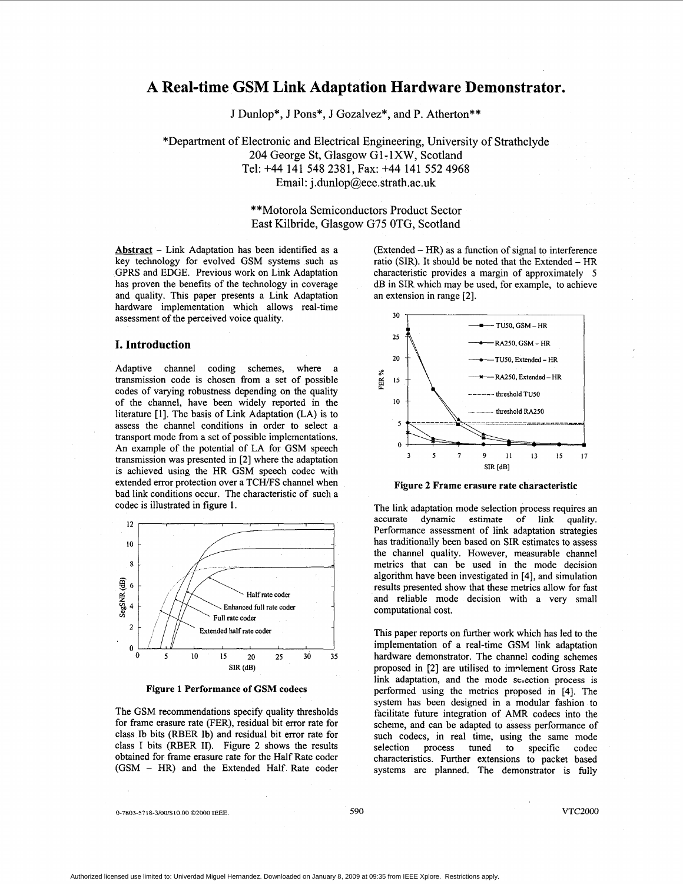# <span id="page-0-0"></span>**A Real-time GSM Link Adaptation Hardware Demonstrator.**

J Dunlop\*, J Pons\*, J Gozalvez\*, and P. Atherton\*\*

\*Department of Electronic and Electrical Engineering, University of Strathclyde 204 George St, Glasgow G1-lXW, Scotland Tel: **+44** 141 548 2381, **Fax: +44** 141 552 **4968**  Email: j . dunlop@eee. strath. ac **.uk** 

> \*\*Motorola Semiconductors Product Sector East Kilbride, Glasgow G75 OTG, Scotland

**Abstract** - Link Adaptation has been identified as a key technology for evolved GSM systems such as GPRS and EDGE. Previous work on Link Adaptation has proven the benefits of the technology in coverage and quality. This paper presents a Link Adaptation hardware implementation which allows real-time assessment of the perceived voice quality.

## **I. Introduction**

Adaptive channel coding schemes, where transmission code is chosen from a set of possible codes of varying robustness depending on the quality of the channel, have been widely reported in the literature [l]. The basis of Link Adaptation (LA) is to assess the channel conditions in order to select a transport mode from a set of possible implementations. An example of the potential of LA for GSM speech transmission was presented in [2] where the adaptation is achieved using the HR GSM speech codec with extended error protection over a TCH/FS channel when bad link conditions occur. The characteristic of such a codec is illustrated in figure 1.



**Figure 1 Performance of GSM codecs** 

The GSM recommendations specify quality thresholds for frame erasure rate (FER), residual bit error rate for class Ib bits (RBER Ib) and residual bit error rate for class I bits (RBER 11). Figure 2 shows the results obtained for frame erasure rate for the Half Rate coder (GSM - HR) and the Extended Half Rate coder  $(Extended - HR)$  as a function of signal to interference ratio (SIR). It should be noted that the Extended - HR characteristic provides a margin of approximately *5*  dB in SIR which may be used, for example, to achieve an extension in range [2].



**Figure 2 Frame erasure rate characteristic** 

The link adaptation mode selection process requires an accurate dynamic estimate of link quality. Performance assessment of link adaptation strategies has traditionally been based on SIR estimates to assess the channel quality. However, measurable channel metrics that can be used in the mode decision algorithm have been investigated in [4], and simulation results presented show that these metrics allow for fast and reliable mode decision with a very small computational cost.

This paper reports on further work which has led to the implementation of a real-time GSM link adaptation hardware demonstrator. The channel coding schemes proposed in [2] are utilised to implement Gross Rate link adaptation, and the mode selection process is performed using the metrics proposed in [4]. The system has been designed in a modular fashion to facilitate future integration of AMR codecs into the scheme, and can be adapted to assess performance of such codecs, in real time, using the same mode selection process tuned to specific codec characteristics. Further extensions to packet based systems are planned. The demonstrator is fully

*0-7803-57* **18-3/00/\$10.00** *02000* **IEEE.** *590* **VTC2000**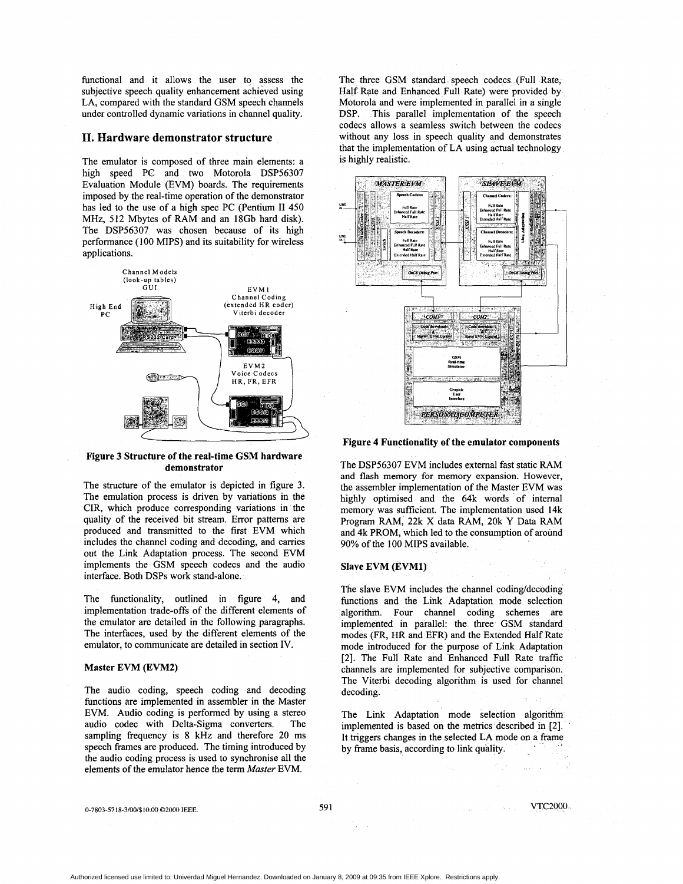functional and it allows the user to assess the subjective speech quality enhancement achieved using LA, compared with the standard GSM speech channels under controlled dynamic variations in channel quality.

## **11. Hardware demonstrator structure**

The emulator is composed of three main elements: a high speed PC and two Motorola DSP56307 Evaluation Module (EVM) boards. The requirements imposed by the real-time operation of the demonstrator has led to the use of a high spec PC (Pentium **I1** 450 MHz, 512 Mbytes of RAM and an 18Gb hard disk). The DSP56307 was chosen because of its high performance (100 MIPS) and its suitability for wireless applications.



#### **Figure 3 Structure of the real-time GSM hardware demonstrator**

The structure of the emulator is depicted in figure 3. The emulation process is driven by variations in the CIR, which produce corresponding variations in the quality of the received bit stream. Error patterns are produced and transmitted to the first EVM which includes the channel coding and decoding, and carries out the Link Adaptation process. The second EVM implements the GSM speech codecs and the audio interface. Both DSPs work stand-alone.

The functionality, outlined in figure 4, and implementation trade-offs of the different elements of the emulator are detailed in the following paragraphs. The interfaces, used by the different elements of the emulator, to communicate are detailed in section IV.

# **Master EVM (EVM2)**

The audio coding, speech coding and decoding functions are implemented in assembler in the Master EVM. Audio coding is performed by using a stereo audio codec with Delta-Sigma converters. The sampling frequency is **8 kHz** and therefore 20 ms speech frames are produced. The timing introduced by the audio coding process is used to synchronise all the elements of the emulator hence the term *Master* EVM.

The three GSM standard speech codecs (Full Rate, Half Rate and Enhanced Full Rate) were provided by Motorola and were implemented in parallel in a single DSP. This parallel implementation of the speech codecs allows a seamless switch between the codecs without any loss in speech quality and demonstrates that the implementation of LA using actual technology is highly realistic.



**Figure 4 Functionality of the emulator components** 

The DSP56307 EVM includes external fast static RAM and flash memory **for** memory expansion. However, the assembler implementation of the Master EVM was highly optimised and the 64k words of internal memory was sufficient. The implementation used 14k Program RAM, 22k **X** data RAM, 20k **Y** Data RAM and 4k PROM, which led to the consumption of around 90% of the 100 MIPS available.

#### **Slave EVM (EVM1)**

The slave EVM includes the channel coding/decoding functions and the Link Adaptation mode selection algorithm. Four channel coding schemes are implemented in parallel: the three GSM standard modes (FR, HR and EFR) and the Extended Half Rate mode introduced for the purpose of Link Adaptation [2]. The Full Rate and Enhanced Full Rate traffic channels are implemented for subjective comparison. The Viterbi decoding algorithm is used for channel decoding.

The Link Adaptation mode selection algorithm implemented is based on the metrics described in [2]. ' It triggers changes in the selected LA mode on a frame by frame basis, according to link quality.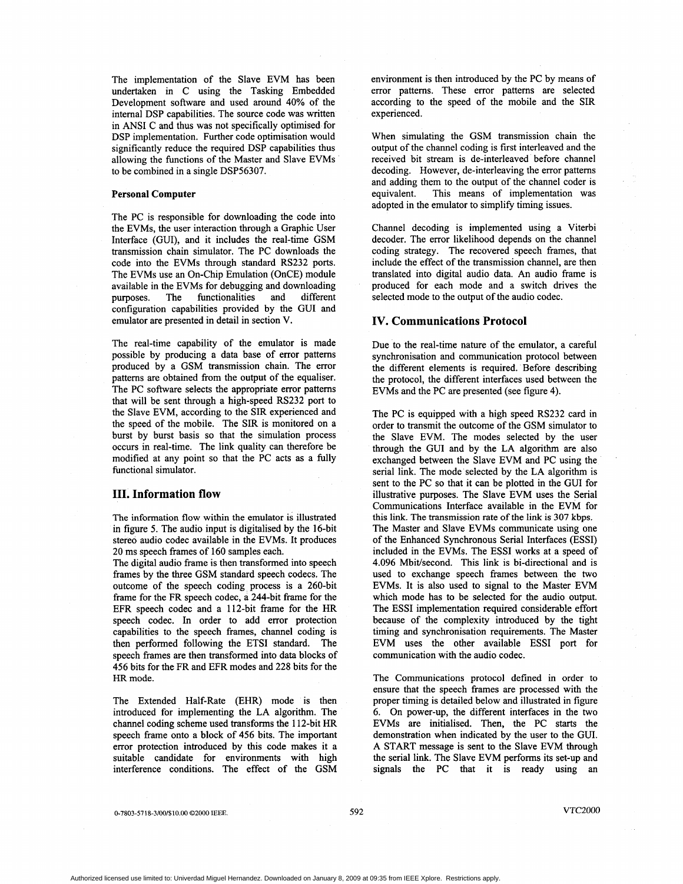The implementation of the Slave EVM has been undertaken in C using the Tasking Embedded Development software and used around 40% of the internal DSP capabilities. The source code was written in ANSI C and thus was not specifically optimised for DSP implementation. Further code optimisation would significantly reduce the required DSP capabilities thus allowing the functions of the Master and Slave EVMs to be combined in a single DSP56307.

#### **Personal Computer**

The PC is responsible for downloading the code into the EVMs, the user interaction through a Graphic User Interface (GUI), and it includes the real-time GSM transmission chain simulator. The PC downloads the code into the EVMs through standard RS232 ports. The EVMs use an On-Chip Emulation (OnCE) module available in the EVMs for debugging and downloading purposes. The functionalities and different configuration capabilities provided by the GUI and emulator are presented in detail in section V.

The real-time capability of the emulator is made possible by producing a data base of error patterns produced by a GSM transmission chain. The error patterns are obtained from the output of the equaliser. The PC software selects the appropriate error patterns that will be sent through a high-speed RS232 port to the Slave EVM, according to the SIR experienced and the speed of the mobile. The SIR is monitored on a burst by burst basis so that the simulation process occurs in real-time. The link quality can therefore be modified at any point so that the PC acts as a fully functional simulator.

# **111. Information flow**

The information flow within the emulator is illustrated in [figure 5.](#page-3-0) The audio input is digitalised by the 16-bit stereo audio codec available in the EVMs. It produces 20 ms speech frames of 160 samples each.

The digital audio frame is then transformed into speech frames by the three GSM standard speech codecs. The outcome of the speech coding process is a 260-bit frame for the FR speech codec, a 244-bit frame for the EFR speech codec and a 112-bit frame for the HR speech codec. In order to add error protection capabilities to the speech frames, channel coding is then performed following the ETSI standard. The speech frames are then transformed into data blocks of 456 bits for the FR and EFR modes and 228 bits for the HR mode.

The Extended Half-Rate (EHR) mode is then introduced for implementing the LA algorithm. The channel coding scheme used transforms the 112-bit HR speech frame onto a block of 456 bits. The important error protection introduced by this code makes it a suitable candidate for environments with high interference conditions. The effect of the GSM

environment is then introduced by the PC by means of error patterns. These error patterns are selected according to the speed of the mobile and the SIR experienced.

When simulating the GSM transmission chain the output of the channel coding is first interleaved and the received bit stream is de-interleaved before channel decoding. However, de-interleaving the error patterns and adding them to the output of the channel coder is equivalent. This means of implementation was adopted in the emulator to simplify timing issues.

Channel decoding is implemented using a Viterbi decoder. The error likelihood depends on the channel coding strategy. The recovered speech frames, that include the effect of the transmission channel, are then translated into digital audio data. *An* audio frame is produced for each mode and a switch drives the selected mode to the output of the audio codec.

## **IV. Communications Protocol**

Due to the real-time nature of the emulator, a careful synchronisation and communication protocol between the different elements is required. Before describing the protocol, the different interfaces used between the EVMs and the PC are presented (see figure 4).

The PC is equipped with a high speed RS232 card in order to transmit the outcome of the GSM simulator to the Slave EVM. The modes selected by the user through the GUI and by the LA algorithm are also exchanged between the Slave EVM and PC using the serial link. The mode selected by the LA algorithm is sent to the PC so that it can be plotted in the GUI for illustrative purposes. The Slave EVM uses the Serial Communications Interface available in the EVM for this link. The transmission rate of the link is **307 kbps.**  The Master and Slave EVMs communicate using one of the Enhanced Synchronous Serial Interfaces (ESSI) included in the EVMs. The ESSI works at a speed of 4.096 Mbit/second. This link is bi-directional and is used to exchange speech frames between the two EVMs. It is also used to signal to the Master EVM which mode has to be selected for the audio output. The ESSI implementation required considerable effort because of the complexity introduced by the tight timing and synchronisation requirements. The Master EVM uses the other available ESSI **port** for communication with the audio codec.

The Communications protocol defined in order to ensure that the speech frames are processed with the proper timing is detailed below and illustrated in figure 6. On power-up, the different interfaces in the two EVMs are initialised. Then, the PC starts the demonstration when indicated by the user to the GUI. A START message is sent to the Slave EVM through the serial link. The Slave EVM performs its set-up and signals the PC that it is ready using an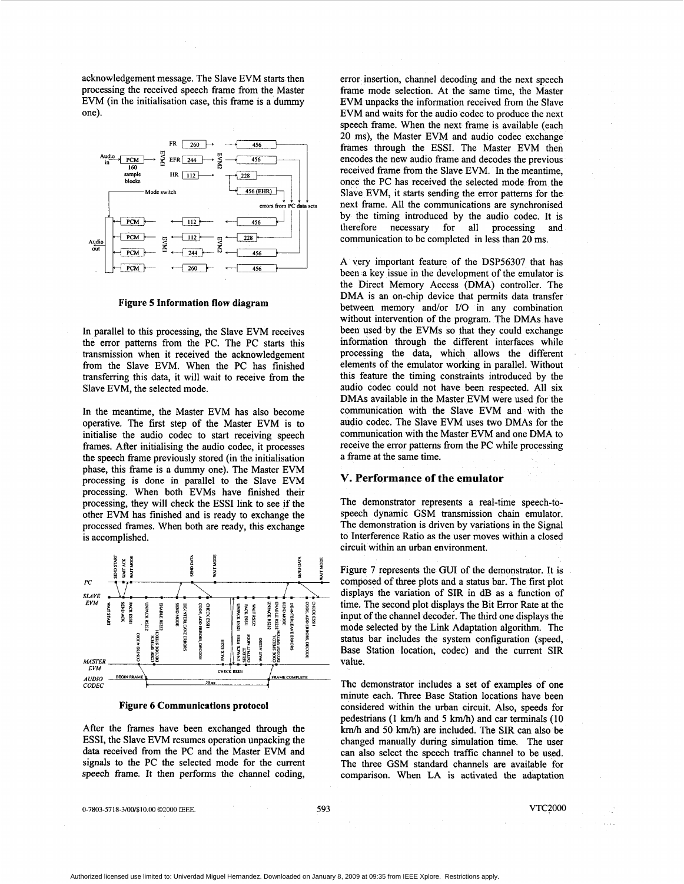<span id="page-3-0"></span>acknowledgement message. The Slave EVM starts then processing the received speech frame from the Master EVM (in the initialisation case, this frame is a dummy one).



**Figure 5 Information flow diagram** 

In parallel to this processing, the Slave EVM receives the error patterns from the PC. The PC starts this transmission when it received the acknowledgement from the Slave EVM. When the PC has finished transfemng this data, it will wait to receive from the Slave EVM, the selected mode.

In the meantime, the Master EVM has also become operative. The first step of the Master EVM is to initialise the audio codec to start receiving speech frames. After initialising the audio codec, it processes the speech frame previously stored (in the initialisation phase, this frame is a dummy one). The Master EVM processing is done in parallel to the Slave EVM processing. When both EVMs have finished their processing, they will check the ESSI link to see if the other EVM has finished and is ready to exchange the processed frames. When both are ready, this exchange **is** accomplished.



**Figure 6 Communications protocol** 

After the frames have been exchanged through the ESSI, the Slave EVM resumes operation unpacking the data received from the PC and the Master EVM and signals to the PC the selected mode for the current speech frame. It then performs the channel coding,

error insertion, channel decoding and the next speech frame mode selection. At the same time, the Master EVM unpacks the information received from the Slave EVM and waits for the audio codec to produce the next speech frame. When the next frame is available (each 20 ms), the Master EVM and audio codec exchange frames through the ESSI. The Master EVM then encodes the new audio frame and decodes the previous received frame from the Slave EVM. In the meantime, once the PC has received the selected mode from the Slave EVM, it starts sending the error patterns for the next frame. All the communications are synchronised by the timing introduced by the audio codec. It is therefore necessary for all processing and communication to be completed in less than 20 ms.

A very important feature of the DSP56307 that has been a key issue in the development of the emulator is the Direct Memory Access (DMA) controller. The DMA is an on-chip device that permits data transfer between memory and/or I/O in any combination without intervention of the program. The DMAs have been used by the EVMs so that they could exchange information through the different interfaces while processing the data, which allows the different elements of the emulator working in parallel. Without this feature the timing constraints introduced by the audio codec could not have been respected. All six DMAs available in the Master EVM were used for the communication with the Slave EVM and with the audio codec. The Slave EVM uses two DMAs for the communication with the Master EVM and one DMA to receive the error pattems from the PC while processing a frame at the same time.

# **V. Performance of the emulator**

The demonstrator represents a real-time speech-tospeech dynamic GSM transmission chain emulator. The demonstration is driven by variations in the Signal to Interference Ratio as the user moves within a closed circuit within an urban environment.

Figure 7 represents the GUI of the demonstrator. It is composed of three plots and a status bar. The first plot displays the variation of SIR in dB as a function of time. The second plot displays the Bit Error Rate at the input of the channel decoder. The third one displays the mode selected by the Link Adaptation algorithm. The status bar includes the system configuration (speed, Base Station location, codec) and the current SIR value.

The demonstrator includes a set of examples of one minute each. Three Base Station locations have been considered within the urban circuit. Also, speeds for pedestrians (1 km/h and 5 km/h) and car terminals (10 km/h and 50 km/h) are included. The SIR can also be changed manually during simulation time. The user can also select the speech traffic channel to be used. The three GSM standard channels are available for comparison. When LA is activated the adaptation

0-7803-5718-3/00/\$10.00 *02000* **IEEE. 593** VTC2000